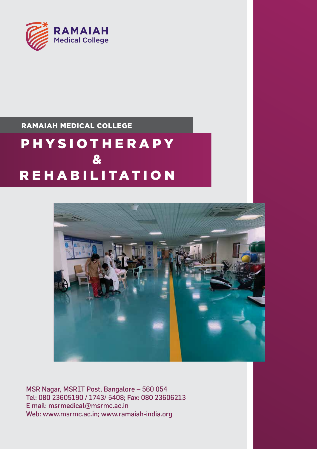

### RAMAIAH MEDICAL COLLEGE

## PHYSIOTHERAPY  $\mathbf{g}_t$ **REHABILITATION**



MSR Nagar, MSRIT Post, Bangalore – 560 054 Tel: 080 23605190 / 1743/ 5408; Fax: 080 23606213 E mail: msrmedical@msrmc.ac.in Web: www.msrmc.ac.in; www.ramaiah-india.org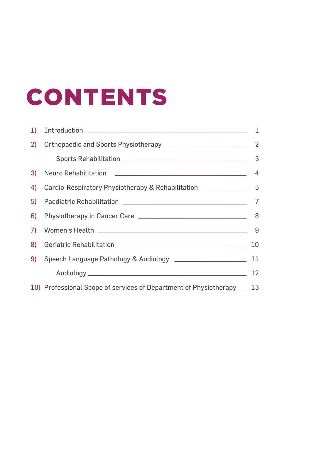# CONTENTS

| 1) |                                                                                   | 1  |
|----|-----------------------------------------------------------------------------------|----|
| 2) |                                                                                   | 2  |
|    |                                                                                   | 3  |
| 3) |                                                                                   |    |
| 4) | Cardio-Respiratory Physiotherapy & Rehabilitation _______________________________ |    |
| 5) |                                                                                   | 7  |
| 6) |                                                                                   |    |
| 7) |                                                                                   |    |
| 8) |                                                                                   | 10 |
| 9) |                                                                                   |    |
|    |                                                                                   | 12 |
|    | 10) Professional Scope of services of Department of Physiotherapy _ 13            |    |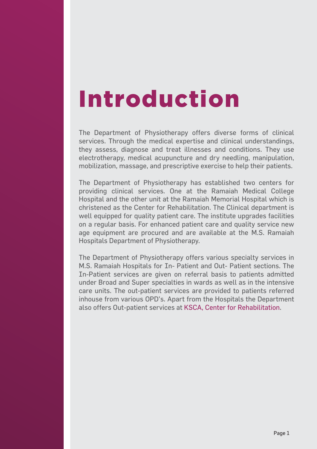## Introduction

The Department of Physiotherapy offers diverse forms of clinical services. Through the medical expertise and clinical understandings, they assess, diagnose and treat illnesses and conditions. They use electrotherapy, medical acupuncture and dry needling, manipulation, mobilization, massage, and prescriptive exercise to help their patients.

The Department of Physiotherapy has established two centers for providing clinical services. One at the Ramaiah Medical College Hospital and the other unit at the Ramaiah Memorial Hospital which is christened as the Center for Rehabilitation. The Clinical department is well equipped for quality patient care. The institute upgrades facilities on a regular basis. For enhanced patient care and quality service new age equipment are procured and are available at the M.S. Ramaiah Hospitals Department of Physiotherapy.

The Department of Physiotherapy offers various specialty services in M.S. Ramaiah Hospitals for In- Patient and Out- Patient sections. The In-Patient services are given on referral basis to patients admitted under Broad and Super specialties in wards as well as in the intensive care units. The out-patient services are provided to patients referred inhouse from various OPD's. Apart from the Hospitals the Department also offers Out-patient services at KSCA, Center for Rehabilitation.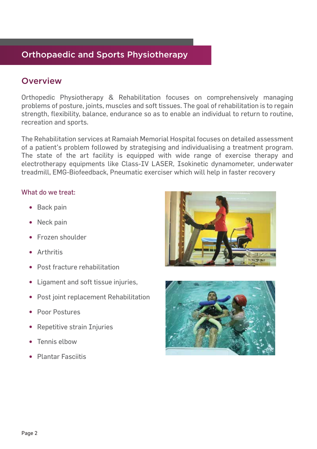## Orthopaedic and Sports Physiotherapy

## **Overview**

Orthopedic Physiotherapy & Rehabilitation focuses on comprehensively managing problems of posture, joints, muscles and soft tissues. The goal of rehabilitation is to regain strength, flexibility, balance, endurance so as to enable an individual to return to routine, recreation and sports.

The Rehabilitation services at Ramaiah Memorial Hospital focuses on detailed assessment of a patient's problem followed by strategising and individualising a treatment program. The state of the art facility is equipped with wide range of exercise therapy and electrotherapy equipments like Class-IV LASER, Isokinetic dynamometer, underwater treadmill, EMG-Biofeedback, Pneumatic exerciser which will help in faster recovery

#### What do we treat:

- Back pain
- Neck pain
- **•** Frozen shoulder
- Arthritis
- Post fracture rehabilitation
- Ligament and soft tissue injuries,
- Post joint replacement Rehabilitation
- Poor Postures
- Repetitive strain Injuries
- Tennis elbow
- Plantar Fasciitis



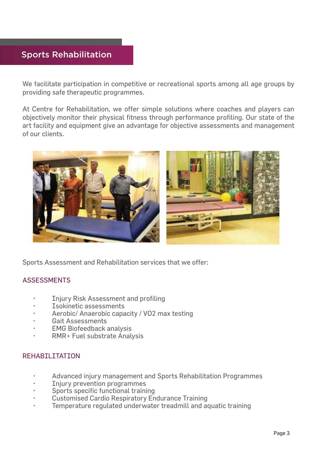## Sports Rehabilitation

We facilitate participation in competitive or recreational sports among all age groups by providing safe therapeutic programmes.

At Centre for Rehabilitation, we offer simple solutions where coaches and players can objectively monitor their physical fitness through performance profiling. Our state of the art facility and equipment give an advantage for objective assessments and management of our clients.



Sports Assessment and Rehabilitation services that we offer:

### ASSESSMENTS

- Injury Risk Assessment and profiling
- Isokinetic assessments
- Aerobic/ Anaerobic capacity / VO2 max testing
- Gait Assessments
- **EMG Biofeedback analysis**
- RMR+ Fuel substrate Analysis

### REHABILITATION

- Advanced injury management and Sports Rehabilitation Programmes
- Injury prevention programmes
- Sports specific functional training
- Customised Cardio Respiratory Endurance Training
- Temperature regulated underwater treadmill and aquatic training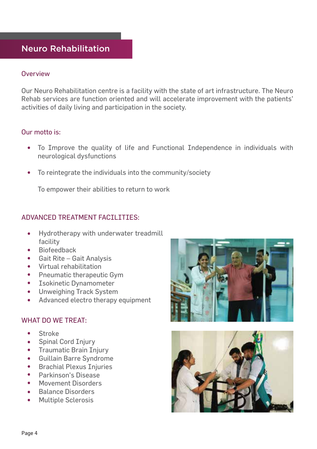## Neuro Rehabilitation

#### **Overview**

Our Neuro Rehabilitation centre is a facility with the state of art infrastructure. The Neuro Rehab services are function oriented and will accelerate improvement with the patients' activities of daily living and participation in the society.

#### Our motto is:

- To Improve the quality of life and Functional Independence in individuals with  $\bullet$ neurological dysfunctions
- $\bullet$ To reintegrate the individuals into the community/society

To empower their abilities to return to work

### ADVANCED TREATMENT FACILITIES:

- Hydrotherapy with underwater treadmill  $\bullet$ facility
- Biofeedback
- Gait Rite Gait Analysis
- Virtual rehabilitation
- Pneumatic therapeutic Gym
- **•** Isokinetic Dynamometer
- **•** Unweighing Track System
- Advanced electro therapy equipment

### WHAT DO WE TREAT:

- $\bullet$ **Stroke**
- Spinal Cord Injury
- Traumatic Brain Injury
- **•** Guillain Barre Syndrome
- **•** Brachial Plexus Injuries
- Parkinson's Disease
- Movement Disorders
- Balance Disorders
- Multiple Sclerosis



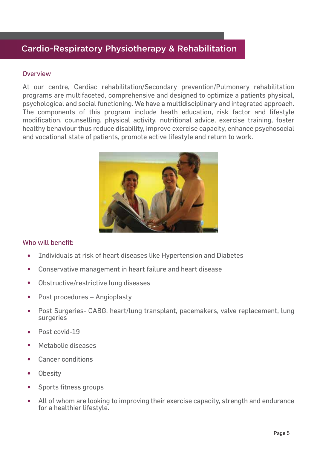## Cardio-Respiratory Physiotherapy & Rehabilitation

#### **Overview**

At our centre, Cardiac rehabilitation/Secondary prevention/Pulmonary rehabilitation programs are multifaceted, comprehensive and designed to optimize a patients physical, psychological and social functioning. We have a multidisciplinary and integrated approach. The components of this program include heath education, risk factor and lifestyle modification, counselling, physical activity, nutritional advice, exercise training, foster healthy behaviour thus reduce disability, improve exercise capacity, enhance psychosocial and vocational state of patients, promote active lifestyle and return to work.



#### Who will benefit:

- Individuals at risk of heart diseases like Hypertension and Diabetes  $\bullet$
- Conservative management in heart failure and heart disease
- Obstructive/restrictive lung diseases  $\bullet$
- Post procedures Angioplasty  $\bullet$
- $\bullet$ Post Surgeries- CABG, heart/lung transplant, pacemakers, valve replacement, lung surgeries
- Post covid-19
- Metabolic diseases
- Cancer conditions
- **Obesity**  $\bullet$
- Sports fitness groups
- All of whom are looking to improving their exercise capacity, strength and endurance for a healthier lifestyle.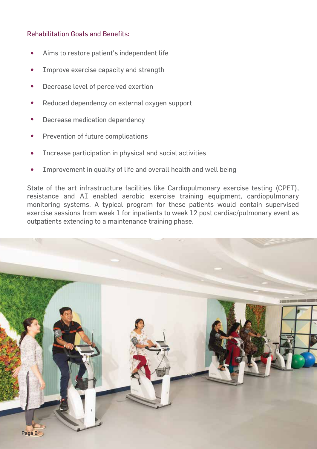#### Rehabilitation Goals and Benefits:

- Aims to restore patient's independent life
- Improve exercise capacity and strength
- Decrease level of perceived exertion
- Reduced dependency on external oxygen support
- Decrease medication dependency
- Prevention of future complications
- Increase participation in physical and social activities
- Improvement in quality of life and overall health and well being

State of the art infrastructure facilities like Cardiopulmonary exercise testing (CPET), resistance and AI enabled aerobic exercise training equipment, cardiopulmonary monitoring systems. A typical program for these patients would contain supervised exercise sessions from week 1 for inpatients to week 12 post cardiac/pulmonary event as outpatients extending to a maintenance training phase.

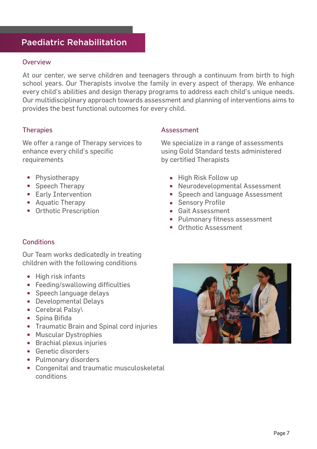## Paediatric Rehabilitation

#### **Overview**

At our center, we serve children and teenagers through a continuum from birth to high school years. Our Therapists involve the family in every aspect of therapy. We enhance every child's abilities and design therapy programs to address each child's unique needs. Our multidisciplinary approach towards assessment and planning of interventions aims to provides the best functional outcomes for every child.

### **Therapies**

We offer a range of Therapy services to enhance every child's specific requirements

- Physiotherapy
- Speech Therapy
- Early Intervention
- Aquatic Therapy
- Orthotic Prescription

#### Assessment

We specialize in a range of assessments using Gold Standard tests administered by certified Therapists

- High Risk Follow up
- Neurodevelopmental Assessment
- Speech and language Assessment
- **•** Sensory Profile
- Gait Assessment
- Pulmonary fitness assessment
- Orthotic Assessment

### **Conditions**

Our Team works dedicatedly in treating children with the following conditions

- High risk infants
- Feeding/swallowing difficulties
- Speech language delays
- Developmental Delays
- Cerebral Palsy\
- Spina Bifida
- Traumatic Brain and Spinal cord injuries
- Muscular Dystrophies
- **•** Brachial plexus injuries
- Genetic disorders
- Pulmonary disorders
- Congenital and traumatic musculoskeletal conditions

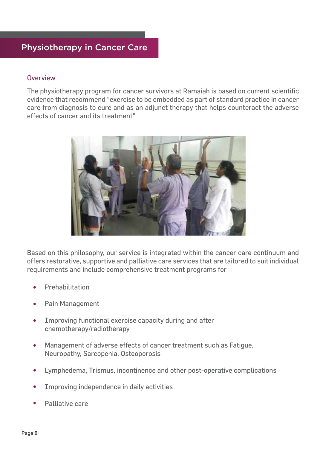## Physiotherapy in Cancer Care

#### **Overview**

The physiotherapy program for cancer survivors at Ramaiah is based on current scientific evidence that recommend "exercise to be embedded as part of standard practice in cancer care from diagnosis to cure and as an adjunct therapy that helps counteract the adverse effects of cancer and its treatment"



Based on this philosophy, our service is integrated within the cancer care continuum and offers restorative, supportive and palliative care services that are tailored to suit individual requirements and include comprehensive treatment programs for

- Prehabilitation
- Pain Management  $\bullet$
- Improving functional exercise capacity during and after chemotherapy/radiotherapy
- Management of adverse effects of cancer treatment such as Fatigue,  $\bullet$ Neuropathy, Sarcopenia, Osteoporosis
- Lymphedema, Trismus, incontinence and other post-operative complications  $\bullet$
- Improving independence in daily activities
- Palliative care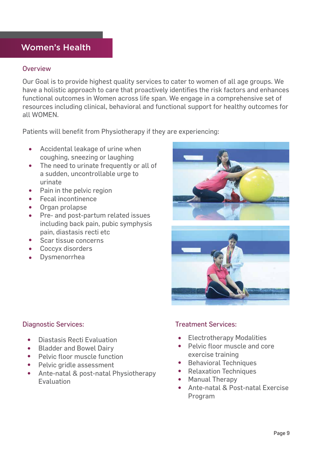## Women's Health

#### **Overview**

Our Goal is to provide highest quality services to cater to women of all age groups. We have a holistic approach to care that proactively identifies the risk factors and enhances functional outcomes in Women across life span. We engage in a comprehensive set of resources including clinical, behavioral and functional support for healthy outcomes for all WOMEN.

Patients will benefit from Physiotherapy if they are experiencing:

- Accidental leakage of urine when  $\bullet$ coughing, sneezing or laughing
- The need to urinate frequently or all of a sudden, uncontrollable urge to urinate
- Pain in the pelvic region  $\bullet$
- Fecal incontinence
- Organ prolapse  $\bullet$
- Pre- and post-partum related issues including back pain, pubic symphysis pain, diastasis recti etc
- Scar tissue concerns
- Coccyx disorders
- Dysmenorrhea





#### Diagnostic Services:

- Diastasis Recti Evaluation
- Bladder and Bowel Dairy
- Pelvic floor muscle function
- Pelvic gridle assessment
- Ante-natal & post-natal Physiotherapy Evaluation

### Treatment Services:

- Electrotherapy Modalities
- Pelvic floor muscle and core exercise training
- **•** Behavioral Techniques
- Relaxation Techniques
- Manual Therapy
- Ante-natal & Post-natal Exercise Program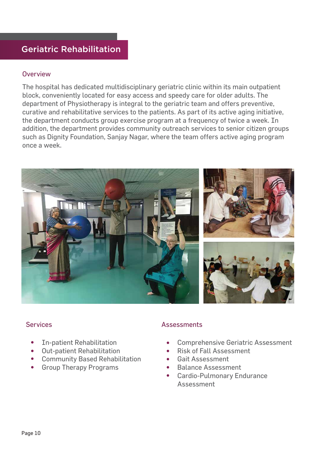## Geriatric Rehabilitation

#### **Overview**

The hospital has dedicated multidisciplinary geriatric clinic within its main outpatient block, conveniently located for easy access and speedy care for older adults. The department of Physiotherapy is integral to the geriatric team and offers preventive, curative and rehabilitative services to the patients. As part of its active aging initiative, the department conducts group exercise program at a frequency of twice a week. In addition, the department provides community outreach services to senior citizen groups such as Dignity Foundation, Sanjay Nagar, where the team offers active aging program once a week.



- $\bullet$ In-patient Rehabilitation
- Out-patient Rehabilitation  $\bullet$
- Community Based Rehabilitation
- Group Therapy Programs  $\bullet$

#### Services **Assessments**

- Comprehensive Geriatric Assessment
- Risk of Fall Assessment  $\bullet$
- Gait Assessment
- Balance Assessment
- $\bullet$ Cardio-Pulmonary Endurance Assessment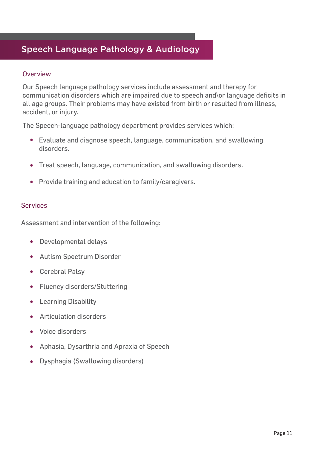## Speech Language Pathology & Audiology

#### **Overview**

Our Speech language pathology services include assessment and therapy for communication disorders which are impaired due to speech and\or language deficits in all age groups. Their problems may have existed from birth or resulted from illness, accident, or injury.

The Speech-language pathology department provides services which:

- Evaluate and diagnose speech, language, communication, and swallowing disorders.
- Treat speech, language, communication, and swallowing disorders.
- Provide training and education to family/caregivers.

#### Services

Assessment and intervention of the following:

- Developmental delays
- Autism Spectrum Disorder
- Cerebral Palsy
- Fluency disorders/Stuttering
- **•** Learning Disability
- Articulation disorders  $\bullet$
- Voice disorders
- Aphasia, Dysarthria and Apraxia of Speech
- Dysphagia (Swallowing disorders)  $\bullet$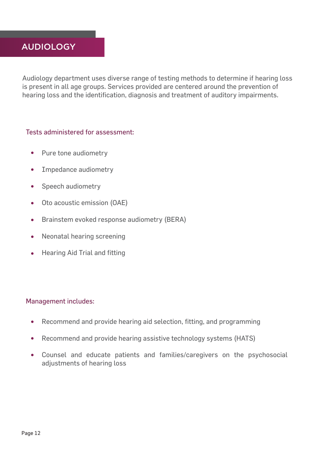## AUDIOLOGY

Audiology department uses diverse range of testing methods to determine if hearing loss is present in all age groups. Services provided are centered around the prevention of hearing loss and the identification, diagnosis and treatment of auditory impairments.

#### Tests administered for assessment:

- Pure tone audiometry  $\bullet$
- Impedance audiometry  $\bullet$
- Speech audiometry  $\bullet$
- Oto acoustic emission (OAE)  $\bullet$
- Brainstem evoked response audiometry (BERA)  $\bullet$
- Neonatal hearing screening  $\bullet$
- Hearing Aid Trial and fitting

#### Management includes:

- Recommend and provide hearing aid selection, fitting, and programming  $\bullet$
- Recommend and provide hearing assistive technology systems (HATS)  $\bullet$
- Counsel and educate patients and families/caregivers on the psychosocial  $\bullet$ adjustments of hearing loss